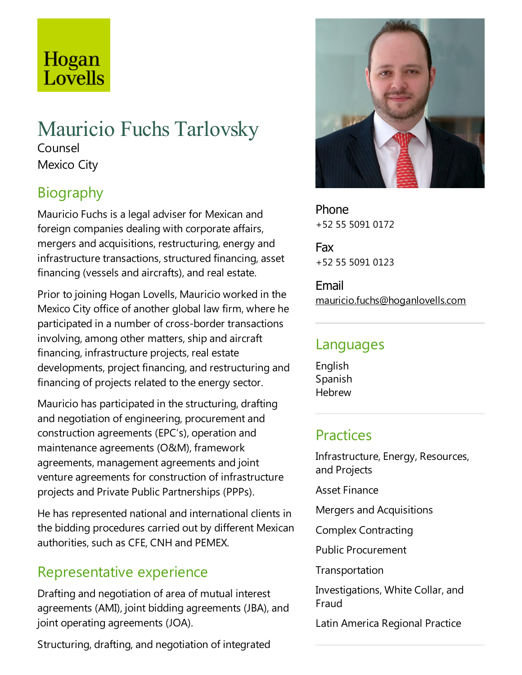# Hogan<br>Lovells

## Mauricio Fuchs Tarlovsky Counsel Mexico City

## Biography

Mauricio Fuchs is alegal adviser for Mexican and foreign companies dealing with corporate affairs, mergers and acquisitions, restructuring, energy and infrastructure transactions, structured financing, asset financing (vessels and aircrafts), and real estate.

Prior to joining Hogan Lovells, Mauricio worked in the Mexico City office of another global law firm, where he participated in a number of cross-border transactions involving, among other matters, ship and aircraft financing, infrastructure projects, real estate developments, project financing, and restructuring and financing of projects related to the energy sector.

Mauricio has participated in the structuring, drafting and negotiation of engineering, procurement and construction agreements (EPC's), operation and maintenance agreements (O&M), framework agreements, management agreements and joint venture agreements for construction of infrastructure projects and Private Public Partnerships (PPPs).

He has represented national and international clients in the bidding procedures carried out by different Mexican authorities, such as CFE, CNH and PEMEX.

## Representative experience

Drafting and negotiation of area of mutual interest agreements (AMI), joint bidding agreements (JBA), and joint operating agreements (JOA).

Structuring, drafting, and negotiation of integrated



Phone +52 55 5091 0172

Fax +52 55 5091 0123

Email mauricio.fuchs@hoganlovells.com

### Languages

English Spanish Hebrew

## **Practices**

Infrastructure, Energy, Resources, and Projects

Asset Finance

Mergers and Acquisitions

Complex Contracting

Public Procurement

**Transportation** 

Investigations, White Collar, and Fraud

Latin America Regional Practice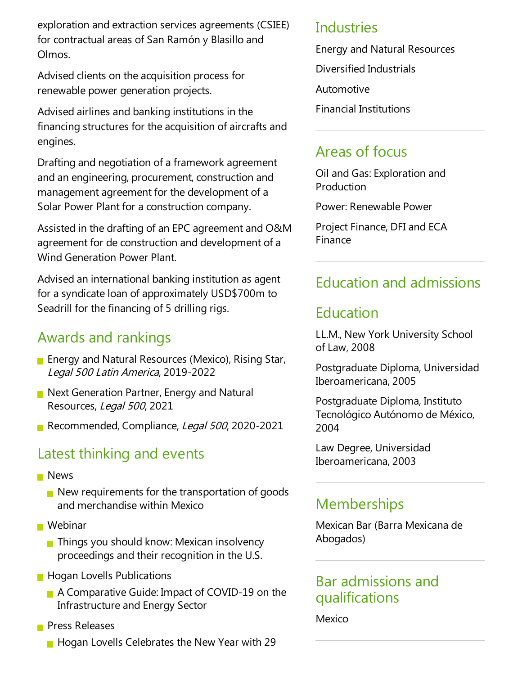exploration and extraction services agreements (CSIEE) for contractual areas of San Ramón y Blasillo and Olmos.

Advised clients on the acquisition process for renewable power generation projects.

Advised airlines and banking institutions in the financing structures for the acquisition of aircrafts and engines.

Drafting and negotiation of a framework agreement and an engineering, procurement, construction and management agreement for the development of a Solar Power Plant for a construction company.

Assisted in the drafting of an EPC agreement and O&M agreement for de construction and development of a Wind Generation Power Plant.

Advised an international banking institution as agent for a syndicate loan of approximately USD\$700m to Seadrill for the financing of 5 drilling rigs.

### Awards and rankings

- **Energy and Natural Resources (Mexico), Rising Star,** Legal <sup>500</sup> Latin America, 2019-2022
- $\blacksquare$  Next Generation Partner, Energy and Natural Resources, Legal 500, 2021
- Recommended, Compliance, Legal 500, 2020-2021

#### Latest thinking and events

- **News** 
	- $\blacksquare$  New requirements for the transportation of goods and merchandise within Mexico
- Webinar
	- $\blacksquare$  Things you should know: Mexican insolvency proceedings and their recognition in the U.S.
- **Hogan Lovells Publications** 
	- A Comparative Guide: Impact of COVID-19 on the Infrastructure and Energy Sector
- **Press Releases** 
	- $\blacksquare$  Hogan Lovells Celebrates the New Year with 29

#### Industries

Energy and Natural Resources Diversified Industrials Automotive Financial Institutions

### Areas of focus

Oil and Gas:Exploration and Production

Power: Renewable Power

Project Finance, DFI and ECA Finance

## Education and admissions

#### Education

LL.M., New York University School of Law, 2008

Postgraduate Diploma, Universidad Iberoamericana, 2005

Postgraduate Diploma, Instituto Tecnológico Autónomo de México, 2004

Law Degree, Universidad Iberoamericana, 2003

## **Memberships**

Mexican Bar (Barra Mexicana de Abogados)

#### Bar admissions and qualifications

Mexico